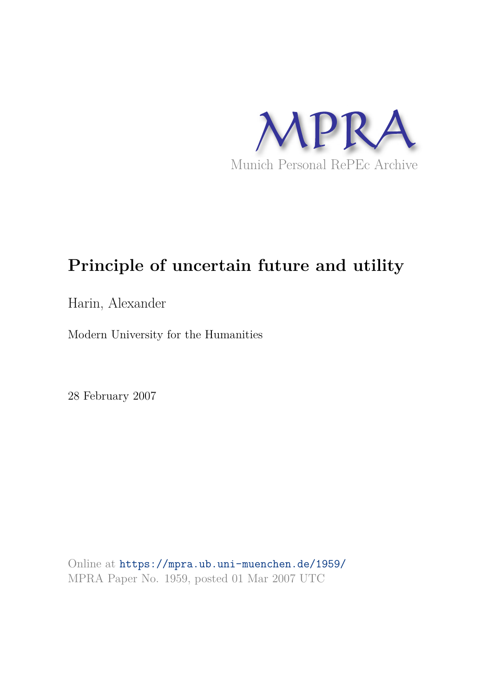

# **Principle of uncertain future and utility**

Harin, Alexander

Modern University for the Humanities

28 February 2007

Online at https://mpra.ub.uni-muenchen.de/1959/ MPRA Paper No. 1959, posted 01 Mar 2007 UTC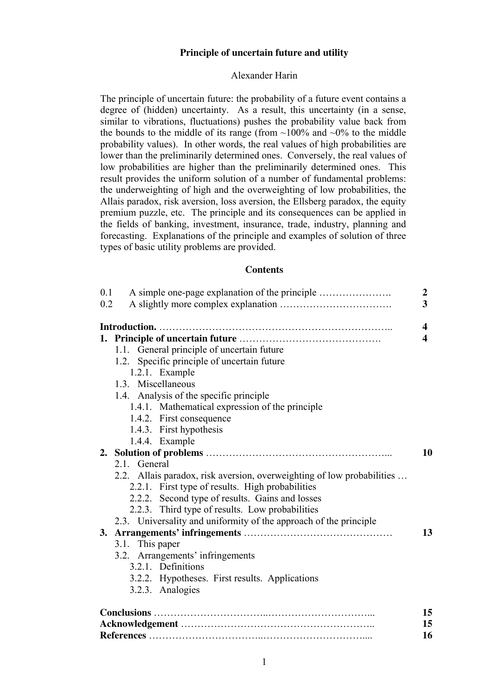# **Principle of uncertain future and utility**

# Alexander Harin

The principle of uncertain future: the probability of a future event contains a degree of (hidden) uncertainty. As a result, this uncertainty (in a sense, similar to vibrations, fluctuations) pushes the probability value back from the bounds to the middle of its range (from  $\sim$ 100% and  $\sim$ 0% to the middle probability values). In other words, the real values of high probabilities are lower than the preliminarily determined ones. Conversely, the real values of low probabilities are higher than the preliminarily determined ones. This result provides the uniform solution of a number of fundamental problems: the underweighting of high and the overweighting of low probabilities, the Allais paradox, risk aversion, loss aversion, the Ellsberg paradox, the equity premium puzzle, etc. The principle and its consequences can be applied in the fields of banking, investment, insurance, trade, industry, planning and forecasting. Explanations of the principle and examples of solution of three types of basic utility problems are provided.

# **Contents**

| 0.1<br>0.2                                                             | $\boldsymbol{2}$<br>3   |
|------------------------------------------------------------------------|-------------------------|
|                                                                        | 4                       |
|                                                                        | $\overline{\mathbf{4}}$ |
| 1.1. General principle of uncertain future                             |                         |
| 1.2. Specific principle of uncertain future                            |                         |
| 1.2.1. Example                                                         |                         |
| 1.3. Miscellaneous                                                     |                         |
| 1.4. Analysis of the specific principle                                |                         |
| 1.4.1. Mathematical expression of the principle                        |                         |
| 1.4.2. First consequence                                               |                         |
| 1.4.3. First hypothesis                                                |                         |
| 1.4.4. Example                                                         |                         |
|                                                                        | 10                      |
| 2.1. General                                                           |                         |
| 2.2. Allais paradox, risk aversion, overweighting of low probabilities |                         |
| 2.2.1. First type of results. High probabilities                       |                         |
| 2.2.2. Second type of results. Gains and losses                        |                         |
| 2.2.3. Third type of results. Low probabilities                        |                         |
| 2.3. Universality and uniformity of the approach of the principle      |                         |
|                                                                        | 13                      |
| 3.1. This paper                                                        |                         |
| 3.2. Arrangements' infringements                                       |                         |
| 3.2.1. Definitions                                                     |                         |
| 3.2.2. Hypotheses. First results. Applications                         |                         |
| 3.2.3. Analogies                                                       |                         |
|                                                                        | 15                      |
|                                                                        | 15                      |
|                                                                        | 16                      |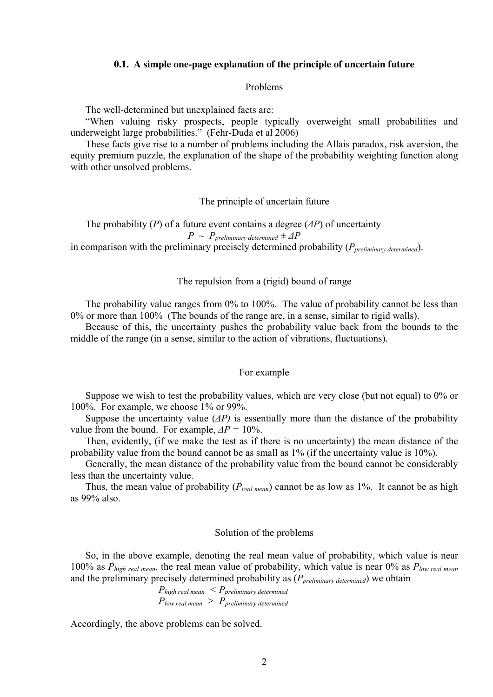#### **0.1. A simple one-page explanation of the principle of uncertain future**

## Problems

The well-determined but unexplained facts are:

"When valuing risky prospects, people typically overweight small probabilities and underweight large probabilities." (Fehr-Duda et al 2006)

These facts give rise to a number of problems including the Allais paradox, risk aversion, the equity premium puzzle, the explanation of the shape of the probability weighting function along with other unsolved problems.

# The principle of uncertain future

The probability (*P*) of a future event contains a degree (*∆P*) of uncertainty

 $P \sim P_{preliminary determined} \pm \Delta P$ 

in comparison with the preliminary precisely determined probability (*Ppreliminary determined*).

# The repulsion from a (rigid) bound of range

The probability value ranges from 0% to 100%. The value of probability cannot be less than 0% or more than 100% (The bounds of the range are, in a sense, similar to rigid walls).

Because of this, the uncertainty pushes the probability value back from the bounds to the middle of the range (in a sense, similar to the action of vibrations, fluctuations).

#### For example

Suppose we wish to test the probability values, which are very close (but not equal) to 0% or 100%. For example, we choose 1% or 99%.

Suppose the uncertainty value (*∆P)* is essentially more than the distance of the probability value from the bound. For example, *∆P =* 10%.

Then, evidently, (if we make the test as if there is no uncertainty) the mean distance of the probability value from the bound cannot be as small as 1% (if the uncertainty value is 10%).

Generally, the mean distance of the probability value from the bound cannot be considerably less than the uncertainty value.

Thus, the mean value of probability (*Preal mean*) cannot be as low as 1%. It cannot be as high as 99% also.

#### Solution of the problems

So, in the above example, denoting the real mean value of probability, which value is near 100% as *Phigh real mean*, the real mean value of probability, which value is near 0% as *Plow real mean* and the preliminary precisely determined probability as (*Ppreliminary determined*) we obtain

> *Phigh real mean < Ppreliminary determined Plow real mean > Ppreliminary determined*

Accordingly, the above problems can be solved.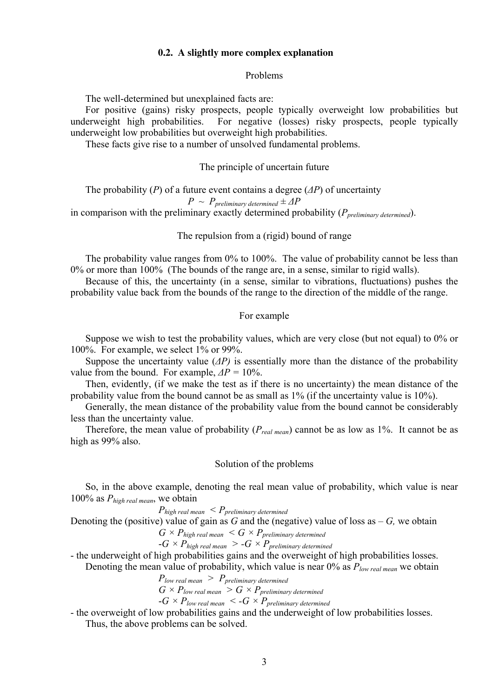## **0.2. A slightly more complex explanation**

#### Problems

The well-determined but unexplained facts are:

For positive (gains) risky prospects, people typically overweight low probabilities but underweight high probabilities. For negative (losses) risky prospects, people typically underweight low probabilities but overweight high probabilities.

These facts give rise to a number of unsolved fundamental problems.

## The principle of uncertain future

The probability (*P*) of a future event contains a degree (*∆P*) of uncertainty  $P \sim P_{preliminary determined} \pm \Delta P$ in comparison with the preliminary exactly determined probability (*Ppreliminary determined*).

The repulsion from a (rigid) bound of range

The probability value ranges from 0% to 100%. The value of probability cannot be less than 0% or more than 100% (The bounds of the range are, in a sense, similar to rigid walls).

Because of this, the uncertainty (in a sense, similar to vibrations, fluctuations) pushes the probability value back from the bounds of the range to the direction of the middle of the range.

# For example

Suppose we wish to test the probability values, which are very close (but not equal) to 0% or 100%. For example, we select 1% or 99%.

Suppose the uncertainty value (*∆P)* is essentially more than the distance of the probability value from the bound. For example,  $\Delta P = 10\%$ .

Then, evidently, (if we make the test as if there is no uncertainty) the mean distance of the probability value from the bound cannot be as small as 1% (if the uncertainty value is 10%).

Generally, the mean distance of the probability value from the bound cannot be considerably less than the uncertainty value.

Therefore, the mean value of probability (*Preal mean*) cannot be as low as 1%. It cannot be as high as 99% also.

#### Solution of the problems

So, in the above example, denoting the real mean value of probability, which value is near 100% as *Phigh real mean*, we obtain

 *Phigh real mean < Ppreliminary determined* Denoting the (positive) value of gain as  $G$  and the (negative) value of loss as  $-G$ , we obtain  $G \times P_{h,i}$   $\leq G \times P_{h,i}$ 

$$
-G \times P_{high\ real\ mean} > -G \times P_{preliminary\ determined}
$$

- the underweight of high probabilities gains and the overweight of high probabilities losses.

Denoting the mean value of probability, which value is near 0% as *Plow real mean* we obtain

$$
P_{low\ real\ mean}\ >\ P_{preliminary\ determined}
$$

$$
G \times P_{low\ real\ mean} > G \times P_{preliminary\ determined}
$$

-*G × Plow real mean < -G × Ppreliminary determined*

- the overweight of low probabilities gains and the underweight of low probabilities losses. Thus, the above problems can be solved.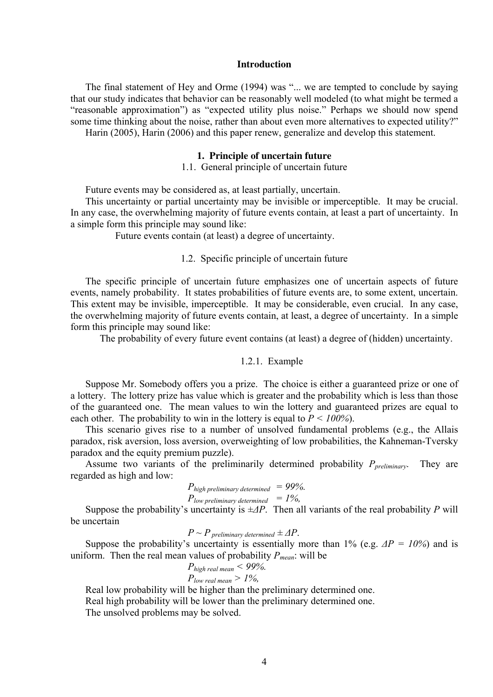## **Introduction**

The final statement of Hey and Orme (1994) was "... we are tempted to conclude by saying that our study indicates that behavior can be reasonably well modeled (to what might be termed a "reasonable approximation") as "expected utility plus noise." Perhaps we should now spend some time thinking about the noise, rather than about even more alternatives to expected utility?" Harin (2005), Harin (2006) and this paper renew, generalize and develop this statement.

#### **1. Principle of uncertain future**

1.1. General principle of uncertain future

Future events may be considered as, at least partially, uncertain.

This uncertainty or partial uncertainty may be invisible or imperceptible. It may be crucial. In any case, the overwhelming majority of future events contain, at least a part of uncertainty. In a simple form this principle may sound like:

Future events contain (at least) a degree of uncertainty.

# 1.2. Specific principle of uncertain future

The specific principle of uncertain future emphasizes one of uncertain aspects of future events, namely probability. It states probabilities of future events are, to some extent, uncertain. This extent may be invisible, imperceptible. It may be considerable, even crucial. In any case, the overwhelming majority of future events contain, at least, a degree of uncertainty. In a simple form this principle may sound like:

The probability of every future event contains (at least) a degree of (hidden) uncertainty.

# 1.2.1. Example

Suppose Mr. Somebody offers you a prize. The choice is either a guaranteed prize or one of a lottery. The lottery prize has value which is greater and the probability which is less than those of the guaranteed one. The mean values to win the lottery and guaranteed prizes are equal to each other. The probability to win in the lottery is equal to  $P < 100\%$ ).

This scenario gives rise to a number of unsolved fundamental problems (e.g., the Allais paradox, risk aversion, loss aversion, overweighting of low probabilities, the Kahneman-Tversky paradox and the equity premium puzzle).

Assume two variants of the preliminarily determined probability *Ppreliminary*. They are regarded as high and low:

$$
P_{high\ preliminary\ determined} = 99\%.
$$
  
 
$$
P_{low\ preliminary\ determined} = 1\%
$$

Suppose the probability's uncertainty is *±∆P*. Then all variants of the real probability *P* will be uncertain

 $P \sim P$  *preliminary determined*  $\pm \Delta P$ .

Suppose the probability's uncertainty is essentially more than 1% (e.g. *∆P = 10%*) and is uniform. Then the real mean values of probability *Pmean*: will be

$$
P_{high\ real\ mean} < 99\%.
$$
\n
$$
P_{low\ real\ mean} > 1\%,
$$

Real low probability will be higher than the preliminary determined one.

Real high probability will be lower than the preliminary determined one.

The unsolved problems may be solved.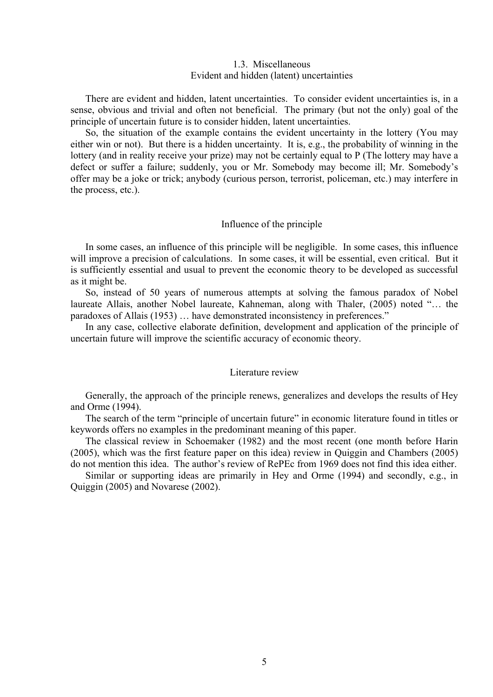# 1.3. Miscellaneous Evident and hidden (latent) uncertainties

There are evident and hidden, latent uncertainties. To consider evident uncertainties is, in a sense, obvious and trivial and often not beneficial. The primary (but not the only) goal of the principle of uncertain future is to consider hidden, latent uncertainties.

So, the situation of the example contains the evident uncertainty in the lottery (You may either win or not). But there is a hidden uncertainty. It is, e.g., the probability of winning in the lottery (and in reality receive your prize) may not be certainly equal to P (The lottery may have a defect or suffer a failure; suddenly, you or Mr. Somebody may become ill; Mr. Somebody's offer may be a joke or trick; anybody (curious person, terrorist, policeman, etc.) may interfere in the process, etc.).

# Influence of the principle

In some cases, an influence of this principle will be negligible. In some cases, this influence will improve a precision of calculations. In some cases, it will be essential, even critical. But it is sufficiently essential and usual to prevent the economic theory to be developed as successful as it might be.

So, instead of 50 years of numerous attempts at solving the famous paradox of Nobel laureate Allais, another Nobel laureate, Kahneman, along with Thaler, (2005) noted "… the paradoxes of Allais (1953) … have demonstrated inconsistency in preferences."

In any case, collective elaborate definition, development and application of the principle of uncertain future will improve the scientific accuracy of economic theory.

#### Literature review

Generally, the approach of the principle renews, generalizes and develops the results of Hey and Orme (1994).

The search of the term "principle of uncertain future" in economic literature found in titles or keywords offers no examples in the predominant meaning of this paper.

The classical review in Schoemaker (1982) and the most recent (one month before Harin (2005), which was the first feature paper on this idea) review in Quiggin and Chambers (2005) do not mention this idea. The author's review of RePEc from 1969 does not find this idea either.

Similar or supporting ideas are primarily in Hey and Orme (1994) and secondly, e.g., in Quiggin (2005) and Novarese (2002).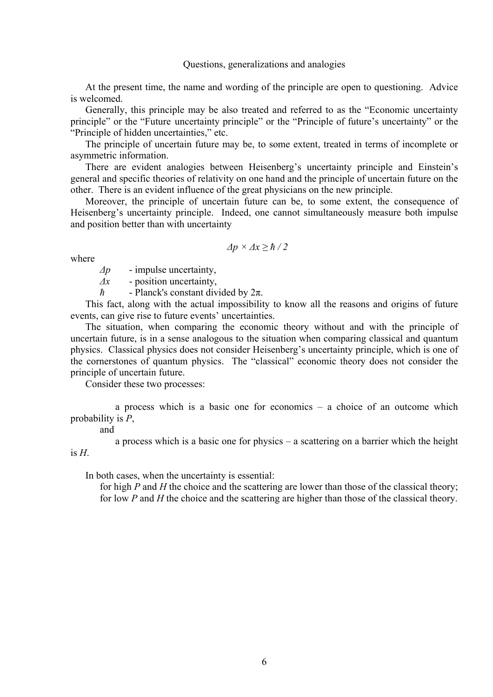# Questions, generalizations and analogies

At the present time, the name and wording of the principle are open to questioning. Advice is welcomed.

Generally, this principle may be also treated and referred to as the "Economic uncertainty principle" or the "Future uncertainty principle" or the "Principle of future's uncertainty" or the "Principle of hidden uncertainties," etc.

The principle of uncertain future may be, to some extent, treated in terms of incomplete or asymmetric information.

There are evident analogies between Heisenberg's uncertainty principle and Einstein's general and specific theories of relativity on one hand and the principle of uncertain future on the other. There is an evident influence of the great physicians on the new principle.

Moreover, the principle of uncertain future can be, to some extent, the consequence of Heisenberg's uncertainty principle. Indeed, one cannot simultaneously measure both impulse and position better than with uncertainty

$$
\Delta p \times \Delta x \geq \hbar / 2
$$

where

*∆p* - impulse uncertainty,

*∆x* - position uncertainty,

*ћ* - Planck's constant divided by 2π.

This fact, along with the actual impossibility to know all the reasons and origins of future events, can give rise to future events' uncertainties.

The situation, when comparing the economic theory without and with the principle of uncertain future, is in a sense analogous to the situation when comparing classical and quantum physics. Classical physics does not consider Heisenberg's uncertainty principle, which is one of the cornerstones of quantum physics. The "classical" economic theory does not consider the principle of uncertain future.

Consider these two processes:

a process which is a basic one for economics – a choice of an outcome which probability is *P*,

and

a process which is a basic one for physics – a scattering on a barrier which the height is  $H$ .

In both cases, when the uncertainty is essential:

 for high *P* and *H* the choice and the scattering are lower than those of the classical theory; for low *P* and *H* the choice and the scattering are higher than those of the classical theory.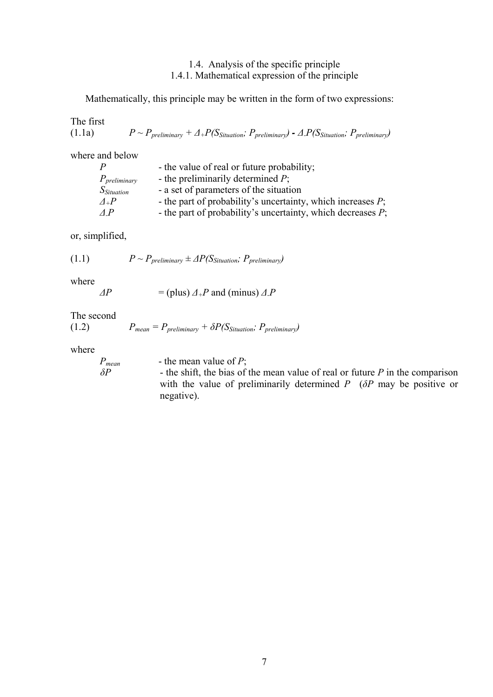# 1.4. Analysis of the specific principle 1.4.1. Mathematical expression of the principle

Mathematically, this principle may be written in the form of two expressions:

The first (1.1a)  $P \sim P_{\text{preliminary}} + \Delta + P(S_{\text{Stuation}}; P_{\text{preliminary}}) - \Delta + P(S_{\text{Stutation}}; P_{\text{preliminary}})$ 

where and below

| $\boldsymbol{P}$  | - the value of real or future probability;                     |
|-------------------|----------------------------------------------------------------|
| $P_{preliminary}$ | - the preliminarily determined $P$ ;                           |
| $S_{Situation}$   | - a set of parameters of the situation                         |
| $\Delta_+ P$      | - the part of probability's uncertainty, which increases $P$ ; |
| AP                | - the part of probability's uncertainty, which decreases $P$ ; |

or, simplified,

(1.1)  $P \sim P_{\text{preliminary}} \pm \Delta P(S_{\text{Situation}}; P_{\text{preliminary}})$ 

where

 $\Delta P$  = (plus)  $\Delta_+ P$  and (minus)  $\Delta_- P$ 

The second

(1.2)  $P_{mean} = P_{preliminary} + \delta P(S_{Situation}; P_{preliminary})$ 

where

*Pmean* - the mean value of *P*; *δP* - the shift, the bias of the mean value of real or future *P* in the comparison with the value of preliminarily determined *P* (*δP* may be positive or negative).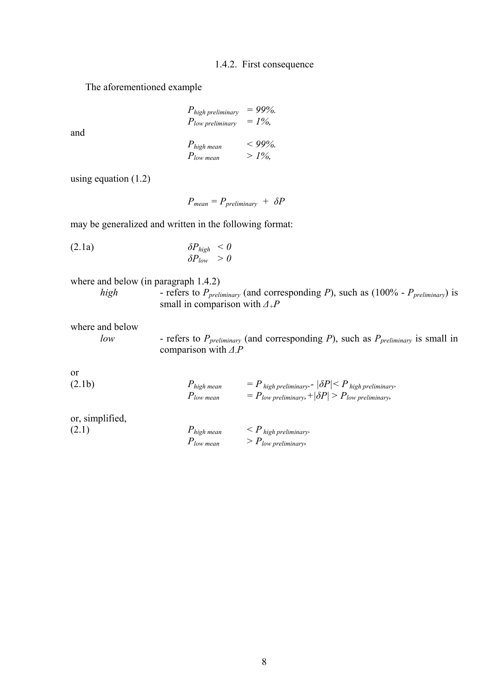# 1.4.2. First consequence

The aforementioned example

| $P_{high\, preliminary}$ | $= 99\%.$ |
|--------------------------|-----------|
| $P_{low\, preliminary}$  | $= 1\%$ , |
| $P_{high \, mean}$       | $< 99\%.$ |
| $P_{low \, mean}$        | $>1\%$ ,  |

using equation (1.2)

and

 $P_{mean} = P_{preliminary} + \delta P$ 

may be generalized and written in the following format:

$$
\delta P_{high} < 0
$$
\n
$$
\delta P_{low} > 0
$$

where and below (in paragraph 
$$
1.4.2
$$
)

*high* - refers to *Ppreliminary* (and corresponding *P*), such as (100% - *Ppreliminary*) is small in comparison with  $\Delta$ <sup>+</sup>*P* 

where and below

*low* - refers to *Ppreliminary* (and corresponding *P*), such as *Ppreliminary* is small in comparison with *∆-P* 

or

| (2.1b) | $P_{high\,mean}$  | $P = P$ high preliminary. $ \delta P  \leq P$ high preliminary. |
|--------|-------------------|-----------------------------------------------------------------|
|        | $P_{low \, mean}$ | $P_{low\, preliminary} +  \delta P  > P_{low\, preliminary}$    |

| or, simplified, |                   |                                       |
|-----------------|-------------------|---------------------------------------|
| (2.1)           | $P_{high\ mean}$  | $\langle P \rangle$ high preliminary. |
|                 | $P_{low \, mean}$ | $> P_{low\, preliminary}$             |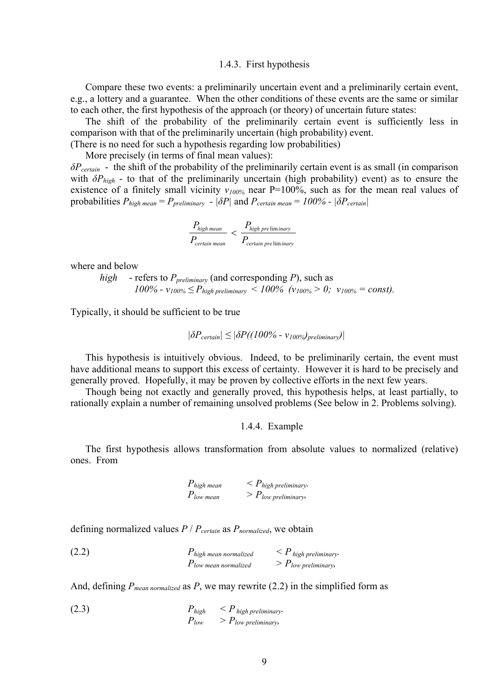#### 1.4.3. First hypothesis

Compare these two events: a preliminarily uncertain event and a preliminarily certain event, e.g., a lottery and a guarantee. When the other conditions of these events are the same or similar to each other, the first hypothesis of the approach (or theory) of uncertain future states:

The shift of the probability of the preliminarily certain event is sufficiently less in comparison with that of the preliminarily uncertain (high probability) event.

(There is no need for such a hypothesis regarding low probabilities)

More precisely (in terms of final mean values):

*δPcertain* - the shift of the probability of the preliminarily certain event is as small (in comparison with  $\delta P_{high}$  - to that of the preliminarily uncertain (high probability) event) as to ensure the existence of a finitely small vicinity  $v_{100\%}$  near P=100%, such as for the mean real values of probabilities  $P_{high\ mean} = P_{preliminary}$  -  $|\delta P|$  and  $P_{certain\ mean} = 100\%$  -  $|\delta P_{certain}|$ 

$$
\frac{P_{high\,mean}}{P_{certain\,mean}} < \frac{P_{high\,pre\,lim\,inary}}{P_{certain\,pre\,lim\,inary}}
$$

where and below

*high* - refers to *Ppreliminary* (and corresponding *P*), such as *100% − v*<sub>100%</sub> ≤  $P_{\text{high preliminary}}$  < 100% (v<sub>100%</sub> > 0; v<sub>100%</sub> = const).

Typically, it should be sufficient to be true

$$
|\delta P_{certain}| \leq |\delta P((100\% - v_{100\%})_{preliminary})|
$$

This hypothesis is intuitively obvious. Indeed, to be preliminarily certain, the event must have additional means to support this excess of certainty. However it is hard to be precisely and generally proved. Hopefully, it may be proven by collective efforts in the next few years.

Though being not exactly and generally proved, this hypothesis helps, at least partially, to rationally explain a number of remaining unsolved problems (See below in 2. Problems solving).

#### 1.4.4. Example

The first hypothesis allows transformation from absolute values to normalized (relative) ones. From

$$
P_{high\ mean} < P_{high\ preliminary}.
$$
\n
$$
P_{low\ mean} > P_{low\ preliminary}.
$$

defining normalized values *P* / *Pcertain* as *Pnormalized*, we obtain

(2.2) 
$$
P_{high\ mean\ normalized} < P_{high\ preliminary}.
$$
\n
$$
P_{low\ mean\ normalized} > P_{low\ preliminary}.
$$

And, defining  $P_{mean normalized}$  as  $P$ , we may rewrite (2.2) in the simplified form as

(2.3) 
$$
P_{high} < P_{high} \frac{\text{y}}{\text{y}} \geq P_{low} \text{preliminary}.
$$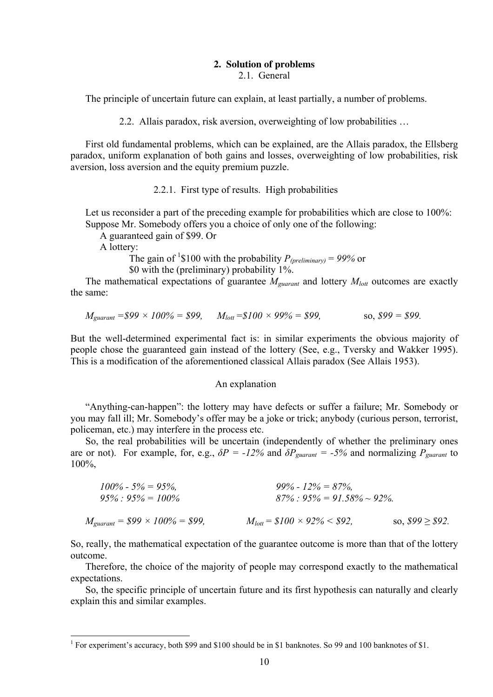# **2. Solution of problems**

2.1. General

The principle of uncertain future can explain, at least partially, a number of problems.

2.2. Allais paradox, risk aversion, overweighting of low probabilities …

First old fundamental problems, which can be explained, are the Allais paradox, the Ellsberg paradox, uniform explanation of both gains and losses, overweighting of low probabilities, risk aversion, loss aversion and the equity premium puzzle.

2.2.1. First type of results. High probabilities

Let us reconsider a part of the preceding example for probabilities which are close to 100%: Suppose Mr. Somebody offers you a choice of only one of the following:

A guaranteed gain of \$99. Or

A lottery:

The gain of <sup>1</sup>\$100 with the probability  $P_{(preliminary)} = 99\%$  or \$0 with the (preliminary) probability 1%.

The mathematical expectations of guarantee  $M_{\text{guarant}}$  and lottery  $M_{\text{lot}}$  outcomes are exactly the same:

$$
M_{\text{guarant}} = $99 \times 100\% = $99, \quad M_{\text{lott}} = $100 \times 99\% = $99, \quad \text{so, $99 = $99.
$$

But the well-determined experimental fact is: in similar experiments the obvious majority of people chose the guaranteed gain instead of the lottery (See, e.g., Tversky and Wakker 1995). This is a modification of the aforementioned classical Allais paradox (See Allais 1953).

#### An explanation

"Anything-can-happen": the lottery may have defects or suffer a failure; Mr. Somebody or you may fall ill; Mr. Somebody's offer may be a joke or trick; anybody (curious person, terrorist, policeman, etc.) may interfere in the process etc.

So, the real probabilities will be uncertain (independently of whether the preliminary ones are or not). For example, for, e.g.,  $\delta P = -12\%$  and  $\delta P_{\text{vurant}} = -5\%$  and normalizing  $P_{\text{vurant}}$  to 100%,

| $100\%$ - 5% = 95%,<br>$95\% : 95\% = 100\%$ | $99\% - 12\% = 87\%.$<br>$87\% : 95\% = 91.58\% \sim 92\%.$ |                      |
|----------------------------------------------|-------------------------------------------------------------|----------------------|
| $M_{guarant} = $99 \times 100\% = $99,$      | $M_{\text{lott}} = \$100 \times 92\% \leq \$92$             | so, $$99 \geq $92$ . |

So, really, the mathematical expectation of the guarantee outcome is more than that of the lottery outcome.

Therefore, the choice of the majority of people may correspond exactly to the mathematical expectations.

So, the specific principle of uncertain future and its first hypothesis can naturally and clearly explain this and similar examples.

<sup>&</sup>lt;sup>1</sup> For experiment's accuracy, both \$99 and \$100 should be in \$1 banknotes. So 99 and 100 banknotes of \$1.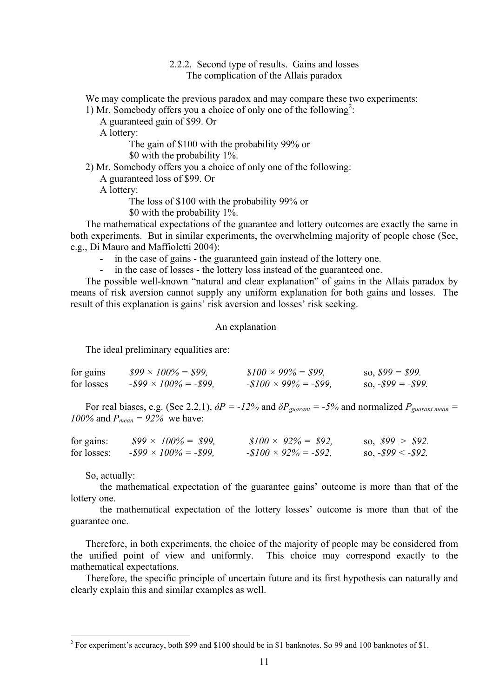# 2.2.2. Second type of results. Gains and losses The complication of the Allais paradox

We may complicate the previous paradox and may compare these two experiments:

1) Mr. Somebody offers you a choice of only one of the following<sup>2</sup>:

A guaranteed gain of \$99. Or

A lottery:

The gain of \$100 with the probability 99% or \$0 with the probability 1%.

2) Mr. Somebody offers you a choice of only one of the following:

A guaranteed loss of \$99. Or

A lottery:

The loss of \$100 with the probability 99% or

\$0 with the probability 1%.

The mathematical expectations of the guarantee and lottery outcomes are exactly the same in both experiments. But in similar experiments, the overwhelming majority of people chose (See, e.g., Di Mauro and Maffioletti 2004):

- in the case of gains the guaranteed gain instead of the lottery one.<br>- in the case of losses the lottery loss instead of the guaranteed one.
- in the case of losses the lottery loss instead of the guaranteed one.

The possible well-known "natural and clear explanation" of gains in the Allais paradox by means of risk aversion cannot supply any uniform explanation for both gains and losses. The result of this explanation is gains' risk aversion and losses' risk seeking.

## An explanation

The ideal preliminary equalities are:

| for gains  | $$99 \times 100\% = $99$     | $$100 \times 99\% = $99,$  | so, $$99 = $99$ .        |
|------------|------------------------------|----------------------------|--------------------------|
| for losses | $-899 \times 100\% = -899$ , | $-100 \times 99\% = -199,$ | so, $-$ \$99 = $-$ \$99. |

For real biases, e.g. (See 2.2.1),  $\delta P = -12\%$  and  $\delta P_{\text{guarant}} = -5\%$  and normalized  $P_{\text{guarant mean}} =$ *100%* and  $P_{mean} = 92\%$  we have:

| for gains:  | $$99 \times 100\% = $99$    | $$100 \times 92\% = $92$$    | so, $$99 > $92$ .        |
|-------------|-----------------------------|------------------------------|--------------------------|
| for losses: | $-$ \$99 × 100% = $-$ \$99, | $-\$100 \times 92\% = -\$92$ | so, $-$ \$99 < $-$ \$92. |

So, actually:

the mathematical expectation of the guarantee gains' outcome is more than that of the lottery one.

the mathematical expectation of the lottery losses' outcome is more than that of the guarantee one.

Therefore, in both experiments, the choice of the majority of people may be considered from the unified point of view and uniformly. This choice may correspond exactly to the mathematical expectations.

Therefore, the specific principle of uncertain future and its first hypothesis can naturally and clearly explain this and similar examples as well.

<sup>&</sup>lt;sup>2</sup> For experiment's accuracy, both \$99 and \$100 should be in \$1 banknotes. So 99 and 100 banknotes of \$1.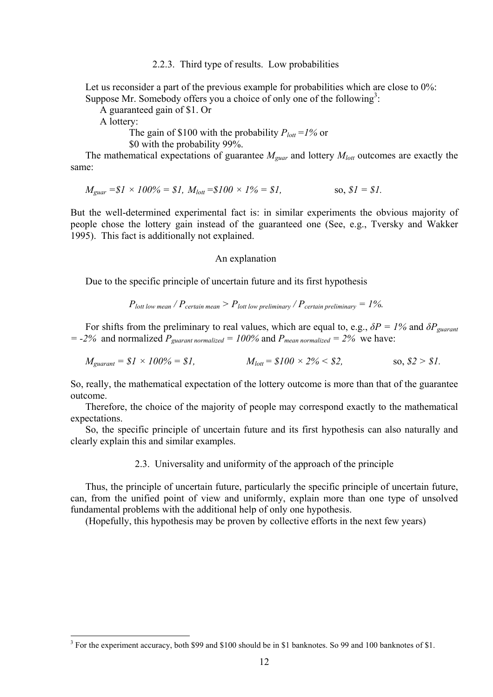2.2.3. Third type of results. Low probabilities

Let us reconsider a part of the previous example for probabilities which are close to 0%: Suppose Mr. Somebody offers you a choice of only one of the following<sup>3</sup>:

A guaranteed gain of \$1. Or

A lottery:

The gain of \$100 with the probability  $P_{\text{lott}} = 1\%$  or

\$0 with the probability 99%.

The mathematical expectations of guarantee *Mguar* and lottery *Mlott* outcomes are exactly the same:

$$
M_{\text{guar}} = \$1 \times 100\% = \$1, M_{\text{lott}} = \$100 \times 1\% = \$1,
$$
 so,  $\$1 = \$1.$ 

But the well-determined experimental fact is: in similar experiments the obvious majority of people chose the lottery gain instead of the guaranteed one (See, e.g., Tversky and Wakker 1995). This fact is additionally not explained.

## An explanation

Due to the specific principle of uncertain future and its first hypothesis

$$
P_{\text{lott low mean}}/P_{\text{certain mean}} > P_{\text{lott low preliminary}}/P_{\text{certain preliminary}} = 1\%
$$

For shifts from the preliminary to real values, which are equal to, e.g.,  $\delta P = 1\%$  and  $\delta P_{\text{guarant}}$  $= -2\%$  and normalized  $P_{\text{guarant normalized}} = 100\%$  and  $P_{\text{mean normalized}} = 2\%$  we have:

$$
M_{guarant} = $1 \times 100\% = $1,
$$
  $M_{lott} = $100 \times 2\% < $2,$  so, \$2 > \$1.

So, really, the mathematical expectation of the lottery outcome is more than that of the guarantee outcome.

Therefore, the choice of the majority of people may correspond exactly to the mathematical expectations.

So, the specific principle of uncertain future and its first hypothesis can also naturally and clearly explain this and similar examples.

2.3. Universality and uniformity of the approach of the principle

Thus, the principle of uncertain future, particularly the specific principle of uncertain future, can, from the unified point of view and uniformly, explain more than one type of unsolved fundamental problems with the additional help of only one hypothesis.

(Hopefully, this hypothesis may be proven by collective efforts in the next few years)

<sup>&</sup>lt;sup>3</sup> For the experiment accuracy, both \$99 and \$100 should be in \$1 banknotes. So 99 and 100 banknotes of \$1.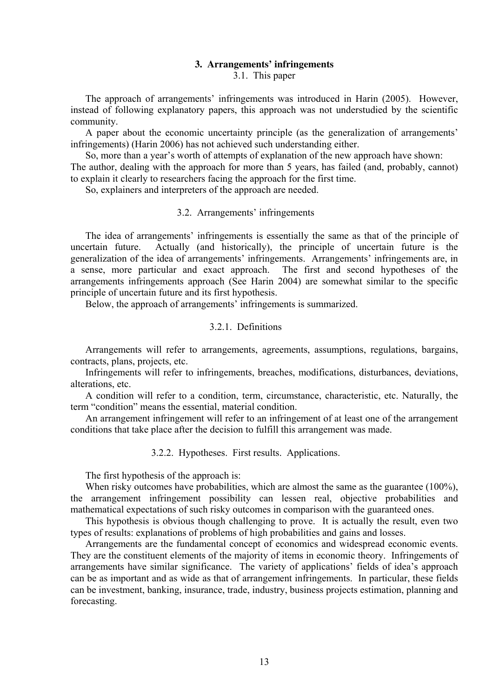# **3. Arrangements' infringements**

3.1. This paper

The approach of arrangements' infringements was introduced in Harin (2005). However, instead of following explanatory papers, this approach was not understudied by the scientific community.

A paper about the economic uncertainty principle (as the generalization of arrangements' infringements) (Harin 2006) has not achieved such understanding either.

So, more than a year's worth of attempts of explanation of the new approach have shown:

The author, dealing with the approach for more than 5 years, has failed (and, probably, cannot) to explain it clearly to researchers facing the approach for the first time.

So, explainers and interpreters of the approach are needed.

# 3.2. Arrangements' infringements

The idea of arrangements' infringements is essentially the same as that of the principle of uncertain future. Actually (and historically), the principle of uncertain future is the generalization of the idea of arrangements' infringements. Arrangements' infringements are, in a sense, more particular and exact approach. The first and second hypotheses of the arrangements infringements approach (See Harin 2004) are somewhat similar to the specific principle of uncertain future and its first hypothesis.

Below, the approach of arrangements' infringements is summarized.

# 3.2.1. Definitions

Arrangements will refer to arrangements, agreements, assumptions, regulations, bargains, contracts, plans, projects, etc.

Infringements will refer to infringements, breaches, modifications, disturbances, deviations, alterations, etc.

A condition will refer to a condition, term, circumstance, characteristic, etc. Naturally, the term "condition" means the essential, material condition.

An arrangement infringement will refer to an infringement of at least one of the arrangement conditions that take place after the decision to fulfill this arrangement was made.

3.2.2. Hypotheses. First results. Applications.

The first hypothesis of the approach is:

When risky outcomes have probabilities, which are almost the same as the guarantee (100%), the arrangement infringement possibility can lessen real, objective probabilities and mathematical expectations of such risky outcomes in comparison with the guaranteed ones.

This hypothesis is obvious though challenging to prove. It is actually the result, even two types of results: explanations of problems of high probabilities and gains and losses.

Arrangements are the fundamental concept of economics and widespread economic events. They are the constituent elements of the majority of items in economic theory. Infringements of arrangements have similar significance. The variety of applications' fields of idea's approach can be as important and as wide as that of arrangement infringements. In particular, these fields can be investment, banking, insurance, trade, industry, business projects estimation, planning and forecasting.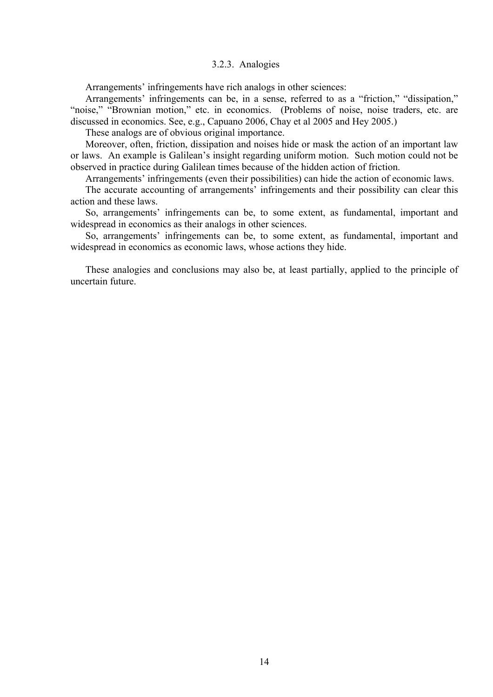# 3.2.3. Analogies

Arrangements' infringements have rich analogs in other sciences:

Arrangements' infringements can be, in a sense, referred to as a "friction," "dissipation," "noise," "Brownian motion," etc. in economics. (Problems of noise, noise traders, etc. are discussed in economics. See, e.g., Capuano 2006, Chay et al 2005 and Hey 2005.)

These analogs are of obvious original importance.

Moreover, often, friction, dissipation and noises hide or mask the action of an important law or laws. An example is Galilean's insight regarding uniform motion. Such motion could not be observed in practice during Galilean times because of the hidden action of friction.

Arrangements' infringements (even their possibilities) can hide the action of economic laws.

The accurate accounting of arrangements' infringements and their possibility can clear this action and these laws.

So, arrangements' infringements can be, to some extent, as fundamental, important and widespread in economics as their analogs in other sciences.

So, arrangements' infringements can be, to some extent, as fundamental, important and widespread in economics as economic laws, whose actions they hide.

These analogies and conclusions may also be, at least partially, applied to the principle of uncertain future.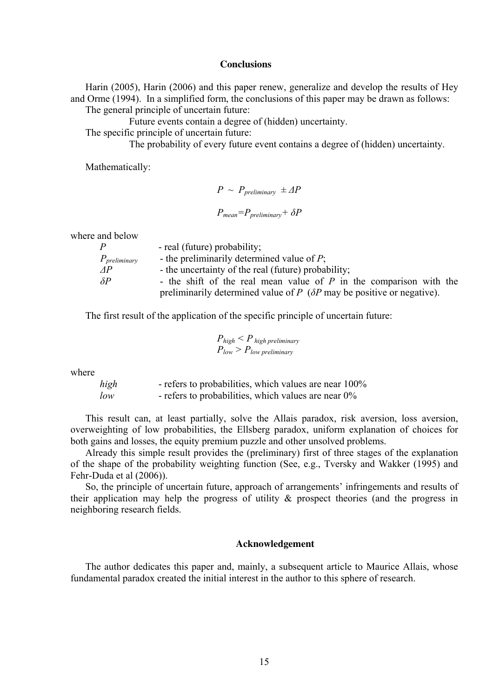## **Conclusions**

Harin (2005), Harin (2006) and this paper renew, generalize and develop the results of Hey and Orme (1994). In a simplified form, the conclusions of this paper may be drawn as follows: The general principle of uncertain future:

Future events contain a degree of (hidden) uncertainty.

The specific principle of uncertain future:

The probability of every future event contains a degree of (hidden) uncertainty.

Mathematically:

$$
P \sim P_{preliminary} \pm \Delta P
$$

$$
P_{mean} = P_{preliminary} + \delta P
$$

where and below

| $\boldsymbol{P}$  | - real (future) probability;                                                     |
|-------------------|----------------------------------------------------------------------------------|
| $P_{preliminary}$ | - the preliminarily determined value of $P$ ;                                    |
| AP                | - the uncertainty of the real (future) probability;                              |
| $\delta P$        | - the shift of the real mean value of $P$ in the comparison with the             |
|                   | preliminarily determined value of $P$ ( $\delta P$ may be positive or negative). |

The first result of the application of the specific principle of uncertain future:

$$
P_{high} < P_{high\,preliminary}
$$
\n
$$
P_{low} > P_{low\,preliminary}
$$

where

*high* - refers to probabilities, which values are near 100% *low* - refers to probabilities, which values are near  $0\%$ 

This result can, at least partially, solve the Allais paradox, risk aversion, loss aversion, overweighting of low probabilities, the Ellsberg paradox, uniform explanation of choices for both gains and losses, the equity premium puzzle and other unsolved problems.

Already this simple result provides the (preliminary) first of three stages of the explanation of the shape of the probability weighting function (See, e.g., Tversky and Wakker (1995) and Fehr-Duda et al (2006)).

So, the principle of uncertain future, approach of arrangements' infringements and results of their application may help the progress of utility & prospect theories (and the progress in neighboring research fields.

## **Acknowledgement**

The author dedicates this paper and, mainly, a subsequent article to Maurice Allais, whose fundamental paradox created the initial interest in the author to this sphere of research.